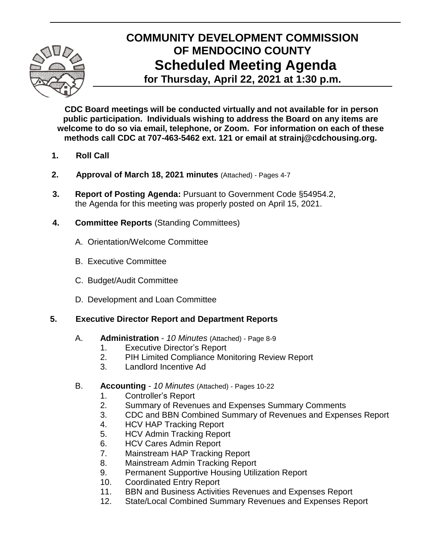

# **COMMUNITY DEVELOPMENT COMMISSION OF MENDOCINO COUNTY Scheduled Meeting Agenda for Thursday, April 22, 2021 at 1:30 p.m.**

**CDC Board meetings will be conducted virtually and not available for in person public participation. Individuals wishing to address the Board on any items are welcome to do so via email, telephone, or Zoom. For information on each of these methods call CDC at 707-463-5462 ext. 121 or email at strainj@cdchousing.org.**

- **1. Roll Call**
- **2. Approval of March 18, 2021 minutes** (Attached) Pages 4-7
- **3. Report of Posting Agenda:** Pursuant to Government Code §54954.2, the Agenda for this meeting was properly posted on April 15, 2021.
- **4. Committee Reports** (Standing Committees)
	- A.Orientation/Welcome Committee
	- B. Executive Committee
	- C. Budget/Audit Committee
	- D. Development and Loan Committee

### **5. Executive Director Report and Department Reports**

- A. **Administration** *10 Minutes* (Attached) Page 8-9
	- 1. Executive Director's Report
	- 2. PIH Limited Compliance Monitoring Review Report
	- 3. Landlord Incentive Ad
- B. **Accounting** *10 Minutes* (Attached) Pages 10-22
	- 1. Controller's Report
	- 2. Summary of Revenues and Expenses Summary Comments
	- 3. CDC and BBN Combined Summary of Revenues and Expenses Report
	- 4. HCV HAP Tracking Report
	- 5. HCV Admin Tracking Report
	- 6. HCV Cares Admin Report
	- 7. Mainstream HAP Tracking Report
	- 8. Mainstream Admin Tracking Report
	- 9. Permanent Supportive Housing Utilization Report
	- 10. Coordinated Entry Report
	- 11. BBN and Business Activities Revenues and Expenses Report
	- 12. State/Local Combined Summary Revenues and Expenses Report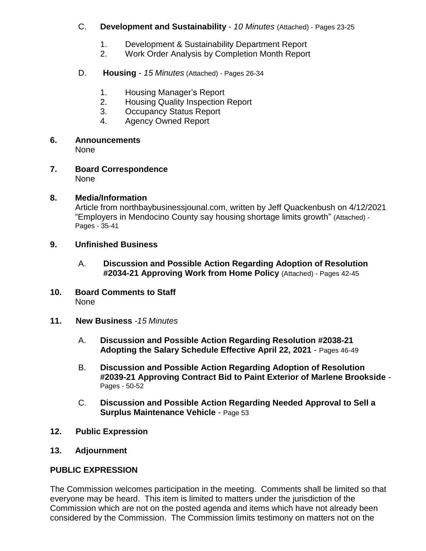#### C. **Development and Sustainability** - *10 Minutes* (Attached) - Pages 23-25

- 1. Development & Sustainability Department Report
- 2. Work Order Analysis by Completion Month Report
- D. **Housing** *15 Minutes* (Attached) *-* Pages 26-34
	- 1. Housing Manager's Report
	- 2. Housing Quality Inspection Report
	- 3. Occupancy Status Report
	- 4. Agency Owned Report
- **6. Announcements**

None

**7. Board Correspondence** None

### **8. Media/Information**

Article from northbaybusinessjounal.com, written by Jeff Quackenbush on 4/12/2021 "Employers in Mendocino County say housing shortage limits growth" (Attached) *-* Pages - 35-41

- **9. Unfinished Business**
	- A. **Discussion and Possible Action Regarding Adoption of Resolution #2034-21 Approving Work from Home Policy** (Attached) *-* Pages 42-45
- **10. Board Comments to Staff** None
- **11. New Business** *-15 Minutes*
	- A. **Discussion and Possible Action Regarding Resolution #2038-21 Adopting the Salary Schedule Effective April 22, 2021** - Pages 46-49
	- B. **Discussion and Possible Action Regarding Adoption of Resolution #2039-21 Approving Contract Bid to Paint Exterior of Marlene Brookside** - Pages - 50-52
	- C. **Discussion and Possible Action Regarding Needed Approval to Sell a Surplus Maintenance Vehicle** - Page 53
- **12. Public Expression**
- **13. Adjournment**

### **PUBLIC EXPRESSION**

The Commission welcomes participation in the meeting. Comments shall be limited so that everyone may be heard. This item is limited to matters under the jurisdiction of the Commission which are not on the posted agenda and items which have not already been considered by the Commission. The Commission limits testimony on matters not on the